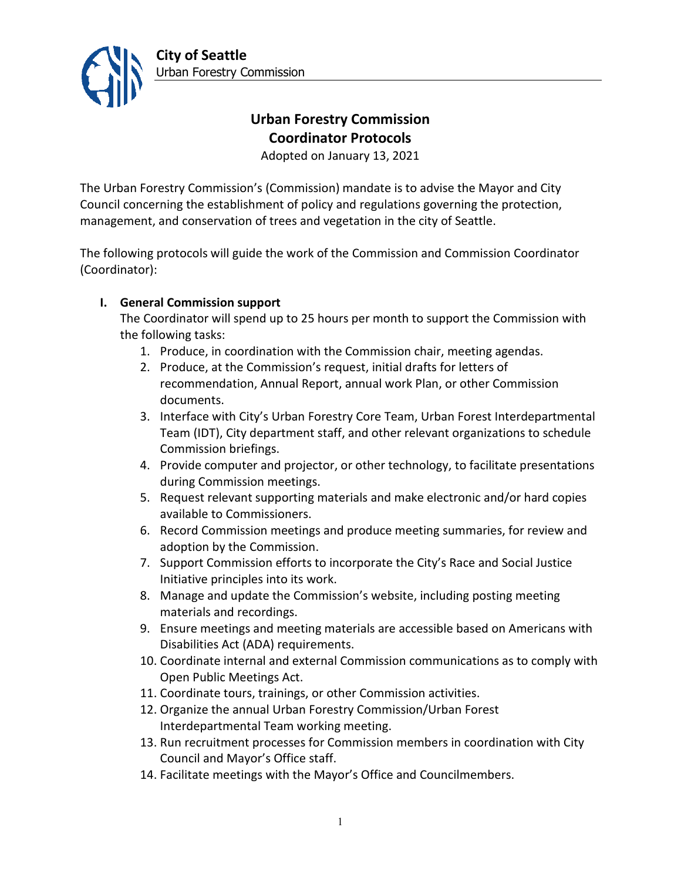

# **Urban Forestry Commission Coordinator Protocols**

Adopted on January 13, 2021

The Urban Forestry Commission's (Commission) mandate is to advise the Mayor and City Council concerning the establishment of policy and regulations governing the protection, management, and conservation of trees and vegetation in the city of Seattle.

The following protocols will guide the work of the Commission and Commission Coordinator (Coordinator):

## **I. General Commission support**

The Coordinator will spend up to 25 hours per month to support the Commission with the following tasks:

- 1. Produce, in coordination with the Commission chair, meeting agendas.
- 2. Produce, at the Commission's request, initial drafts for letters of recommendation, Annual Report, annual work Plan, or other Commission documents.
- 3. Interface with City's Urban Forestry Core Team, Urban Forest Interdepartmental Team (IDT), City department staff, and other relevant organizations to schedule Commission briefings.
- 4. Provide computer and projector, or other technology, to facilitate presentations during Commission meetings.
- 5. Request relevant supporting materials and make electronic and/or hard copies available to Commissioners.
- 6. Record Commission meetings and produce meeting summaries, for review and adoption by the Commission.
- 7. Support Commission efforts to incorporate the City's Race and Social Justice Initiative principles into its work.
- 8. Manage and update the Commission's website, including posting meeting materials and recordings.
- 9. Ensure meetings and meeting materials are accessible based on Americans with Disabilities Act (ADA) requirements.
- 10. Coordinate internal and external Commission communications as to comply with Open Public Meetings Act.
- 11. Coordinate tours, trainings, or other Commission activities.
- 12. Organize the annual Urban Forestry Commission/Urban Forest Interdepartmental Team working meeting.
- 13. Run recruitment processes for Commission members in coordination with City Council and Mayor's Office staff.
- 14. Facilitate meetings with the Mayor's Office and Councilmembers.